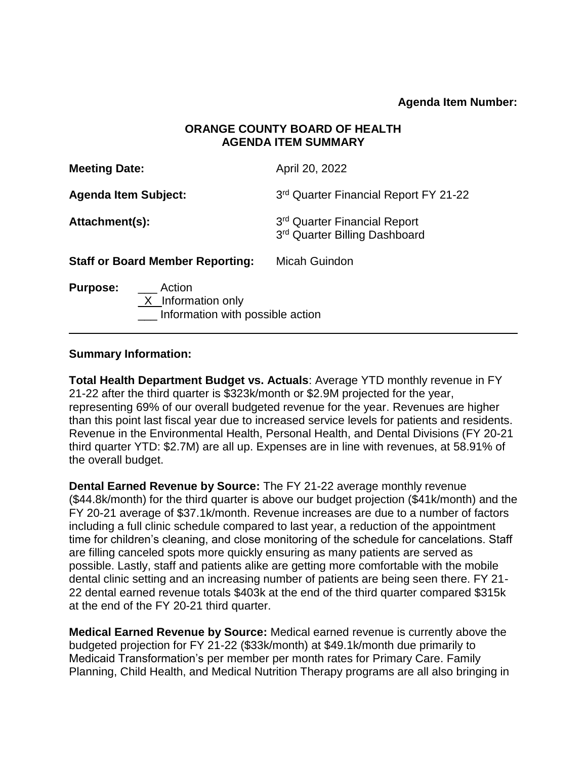# **Agenda Item Number:**

### **ORANGE COUNTY BOARD OF HEALTH AGENDA ITEM SUMMARY**

| <b>Meeting Date:</b>                                                                  | April 20, 2022                                                |
|---------------------------------------------------------------------------------------|---------------------------------------------------------------|
| <b>Agenda Item Subject:</b>                                                           | 3rd Quarter Financial Report FY 21-22                         |
| Attachment(s):                                                                        | 3rd Quarter Financial Report<br>3rd Quarter Billing Dashboard |
| <b>Staff or Board Member Reporting:</b>                                               | Micah Guindon                                                 |
| Action<br><b>Purpose:</b><br>$X$ Information only<br>Information with possible action |                                                               |

### **Summary Information:**

**Total Health Department Budget vs. Actuals**: Average YTD monthly revenue in FY 21-22 after the third quarter is \$323k/month or \$2.9M projected for the year, representing 69% of our overall budgeted revenue for the year. Revenues are higher than this point last fiscal year due to increased service levels for patients and residents. Revenue in the Environmental Health, Personal Health, and Dental Divisions (FY 20-21 third quarter YTD: \$2.7M) are all up. Expenses are in line with revenues, at 58.91% of the overall budget.

**Dental Earned Revenue by Source:** The FY 21-22 average monthly revenue (\$44.8k/month) for the third quarter is above our budget projection (\$41k/month) and the FY 20-21 average of \$37.1k/month. Revenue increases are due to a number of factors including a full clinic schedule compared to last year, a reduction of the appointment time for children's cleaning, and close monitoring of the schedule for cancelations. Staff are filling canceled spots more quickly ensuring as many patients are served as possible. Lastly, staff and patients alike are getting more comfortable with the mobile dental clinic setting and an increasing number of patients are being seen there. FY 21- 22 dental earned revenue totals \$403k at the end of the third quarter compared \$315k at the end of the FY 20-21 third quarter.

**Medical Earned Revenue by Source:** Medical earned revenue is currently above the budgeted projection for FY 21-22 (\$33k/month) at \$49.1k/month due primarily to Medicaid Transformation's per member per month rates for Primary Care. Family Planning, Child Health, and Medical Nutrition Therapy programs are all also bringing in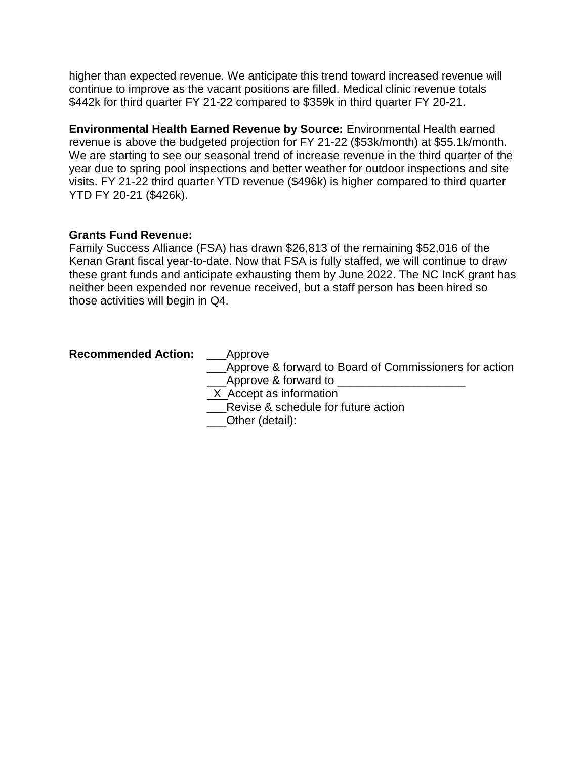higher than expected revenue. We anticipate this trend toward increased revenue will continue to improve as the vacant positions are filled. Medical clinic revenue totals \$442k for third quarter FY 21-22 compared to \$359k in third quarter FY 20-21.

**Environmental Health Earned Revenue by Source:** Environmental Health earned revenue is above the budgeted projection for FY 21-22 (\$53k/month) at \$55.1k/month. We are starting to see our seasonal trend of increase revenue in the third quarter of the year due to spring pool inspections and better weather for outdoor inspections and site visits. FY 21-22 third quarter YTD revenue (\$496k) is higher compared to third quarter YTD FY 20-21 (\$426k).

# **Grants Fund Revenue:**

Family Success Alliance (FSA) has drawn \$26,813 of the remaining \$52,016 of the Kenan Grant fiscal year-to-date. Now that FSA is fully staffed, we will continue to draw these grant funds and anticipate exhausting them by June 2022. The NC IncK grant has neither been expended nor revenue received, but a staff person has been hired so those activities will begin in Q4.

# **Recommended Action:** Approve

- \_\_\_Approve & forward to Board of Commissioners for action Approve & forward to
- \_X\_Accept as information
- Revise & schedule for future action
- \_\_\_Other (detail):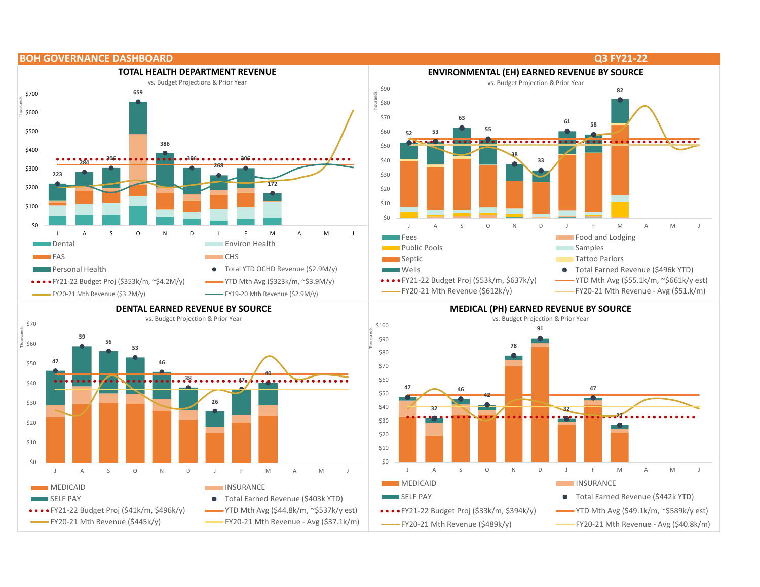







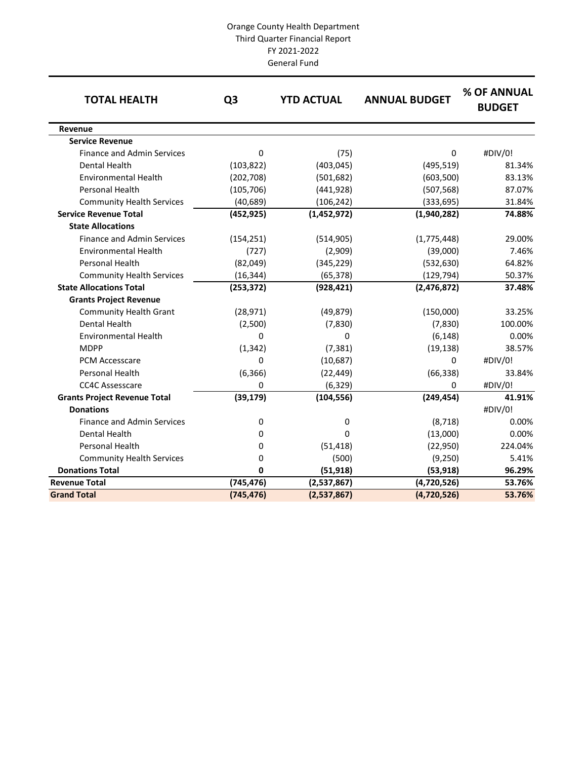#### Orange County Health Department Third Quarter Financial Report FY 2021-2022 General Fund

| <b>TOTAL HEALTH</b>                 | Q <sub>3</sub> | <b>YTD ACTUAL</b> | <b>ANNUAL BUDGET</b> | % OF ANNUAL<br><b>BUDGET</b> |
|-------------------------------------|----------------|-------------------|----------------------|------------------------------|
| <b>Revenue</b>                      |                |                   |                      |                              |
| <b>Service Revenue</b>              |                |                   |                      |                              |
| <b>Finance and Admin Services</b>   | 0              | (75)              | 0                    | #DIV/0!                      |
| Dental Health                       | (103, 822)     | (403, 045)        | (495, 519)           | 81.34%                       |
| <b>Environmental Health</b>         | (202, 708)     | (501, 682)        | (603, 500)           | 83.13%                       |
| Personal Health                     | (105, 706)     | (441, 928)        | (507, 568)           | 87.07%                       |
| <b>Community Health Services</b>    | (40, 689)      | (106, 242)        | (333, 695)           | 31.84%                       |
| <b>Service Revenue Total</b>        | (452, 925)     | (1,452,972)       | (1,940,282)          | 74.88%                       |
| <b>State Allocations</b>            |                |                   |                      |                              |
| <b>Finance and Admin Services</b>   | (154, 251)     | (514, 905)        | (1,775,448)          | 29.00%                       |
| <b>Environmental Health</b>         | (727)          | (2,909)           | (39,000)             | 7.46%                        |
| Personal Health                     | (82,049)       | (345, 229)        | (532, 630)           | 64.82%                       |
| <b>Community Health Services</b>    | (16, 344)      | (65, 378)         | (129, 794)           | 50.37%                       |
| <b>State Allocations Total</b>      | (253, 372)     | (928, 421)        | (2,476,872)          | 37.48%                       |
| <b>Grants Project Revenue</b>       |                |                   |                      |                              |
| <b>Community Health Grant</b>       | (28, 971)      | (49, 879)         | (150,000)            | 33.25%                       |
| Dental Health                       | (2,500)        | (7, 830)          | (7, 830)             | 100.00%                      |
| <b>Environmental Health</b>         | $\Omega$       | $\Omega$          | (6, 148)             | 0.00%                        |
| <b>MDPP</b>                         | (1, 342)       | (7, 381)          | (19, 138)            | 38.57%                       |
| <b>PCM Accesscare</b>               | 0              | (10,687)          | 0                    | #DIV/0!                      |
| Personal Health                     | (6, 366)       | (22, 449)         | (66, 338)            | 33.84%                       |
| <b>CC4C Assesscare</b>              | $\mathbf 0$    | (6, 329)          | 0                    | #DIV/0!                      |
| <b>Grants Project Revenue Total</b> | (39, 179)      | (104, 556)        | (249, 454)           | 41.91%                       |
| <b>Donations</b>                    |                |                   |                      | #DIV/0!                      |
| <b>Finance and Admin Services</b>   | 0              | 0                 | (8, 718)             | 0.00%                        |
| Dental Health                       | 0              | 0                 | (13,000)             | 0.00%                        |
| Personal Health                     | 0              | (51, 418)         | (22, 950)            | 224.04%                      |
| <b>Community Health Services</b>    | 0              | (500)             | (9,250)              | 5.41%                        |
| <b>Donations Total</b>              | 0              | (51, 918)         | (53, 918)            | 96.29%                       |
| <b>Revenue Total</b>                | (745, 476)     | (2,537,867)       | (4,720,526)          | 53.76%                       |
| <b>Grand Total</b>                  | (745, 476)     | (2,537,867)       | (4,720,526)          | 53.76%                       |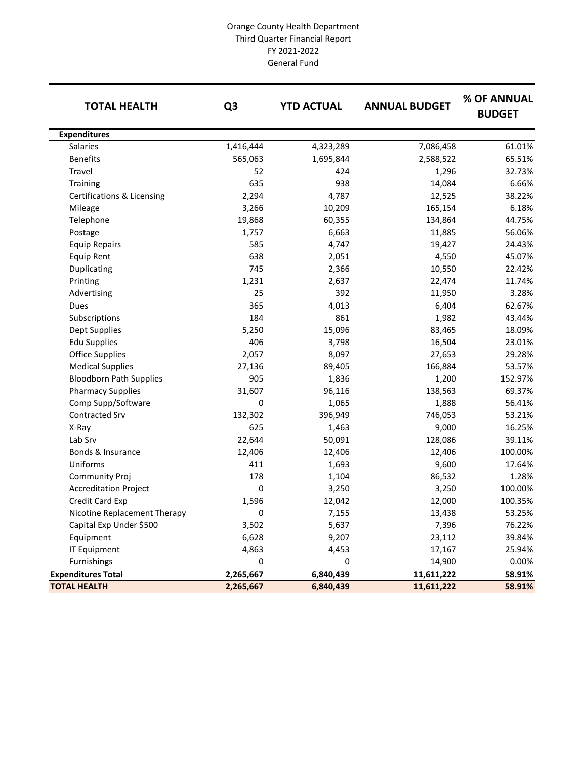#### Orange County Health Department Third Quarter Financial Report FY 2021-2022 General Fund

| <b>TOTAL HEALTH</b>            | Q <sub>3</sub> | <b>YTD ACTUAL</b> | <b>ANNUAL BUDGET</b> | % OF ANNUAL<br><b>BUDGET</b> |  |
|--------------------------------|----------------|-------------------|----------------------|------------------------------|--|
| <b>Expenditures</b>            |                |                   |                      |                              |  |
| Salaries                       | 1,416,444      | 4,323,289         | 7,086,458            | 61.01%                       |  |
| <b>Benefits</b>                | 565,063        | 1,695,844         | 2,588,522            | 65.51%                       |  |
| Travel                         | 52             | 424               | 1,296                | 32.73%                       |  |
| Training                       | 635            | 938               | 14,084               | 6.66%                        |  |
| Certifications & Licensing     | 2,294          | 4,787             | 12,525               | 38.22%                       |  |
| Mileage                        | 3,266          | 10,209            | 165,154              | 6.18%                        |  |
| Telephone                      | 19,868         | 60,355            | 134,864              | 44.75%                       |  |
| Postage                        | 1,757          | 6,663             | 11,885               | 56.06%                       |  |
| <b>Equip Repairs</b>           | 585            | 4,747             | 19,427               | 24.43%                       |  |
| <b>Equip Rent</b>              | 638            | 2,051             | 4,550                | 45.07%                       |  |
| Duplicating                    | 745            | 2,366             | 10,550               | 22.42%                       |  |
| Printing                       | 1,231          | 2,637             | 22,474               | 11.74%                       |  |
| Advertising                    | 25             | 392               | 11,950               | 3.28%                        |  |
| Dues                           | 365            | 4,013             | 6,404                | 62.67%                       |  |
| Subscriptions                  | 184            | 861               | 1,982                | 43.44%                       |  |
| Dept Supplies                  | 5,250          | 15,096            | 83,465               | 18.09%                       |  |
| <b>Edu Supplies</b>            | 406            | 3,798             | 16,504               | 23.01%                       |  |
| <b>Office Supplies</b>         | 2,057          | 8,097             | 27,653               | 29.28%                       |  |
| <b>Medical Supplies</b>        | 27,136         | 89,405            | 166,884              | 53.57%                       |  |
| <b>Bloodborn Path Supplies</b> | 905            | 1,836             | 1,200                | 152.97%                      |  |
| <b>Pharmacy Supplies</b>       | 31,607         | 96,116            | 138,563              | 69.37%                       |  |
| Comp Supp/Software             | 0              | 1,065             | 1,888                | 56.41%                       |  |
| Contracted Srv                 | 132,302        | 396,949           | 746,053              | 53.21%                       |  |
| X-Ray                          | 625            | 1,463             | 9,000                | 16.25%                       |  |
| Lab Srv                        | 22,644         | 50,091            | 128,086              | 39.11%                       |  |
| Bonds & Insurance              | 12,406         | 12,406            | 12,406               | 100.00%                      |  |
| Uniforms                       | 411            | 1,693             | 9,600                | 17.64%                       |  |
| <b>Community Proj</b>          | 178            | 1,104             | 86,532               | 1.28%                        |  |
| <b>Accreditation Project</b>   | 0              | 3,250             | 3,250                | 100.00%                      |  |
| Credit Card Exp                | 1,596          | 12,042            | 12,000               | 100.35%                      |  |
| Nicotine Replacement Therapy   | 0              | 7,155             | 13,438               | 53.25%                       |  |
| Capital Exp Under \$500        | 3,502          | 5,637             | 7,396                | 76.22%                       |  |
| Equipment                      | 6,628          | 9,207             | 23,112               | 39.84%                       |  |
| <b>IT Equipment</b>            | 4,863          | 4,453             | 17,167               | 25.94%                       |  |
| Furnishings                    | 0              | 0                 | 14,900               | 0.00%                        |  |
| <b>Expenditures Total</b>      | 2,265,667      | 6,840,439         | 11,611,222           | 58.91%                       |  |
| <b>TOTAL HEALTH</b>            | 2,265,667      | 6,840,439         | 11,611,222           | 58.91%                       |  |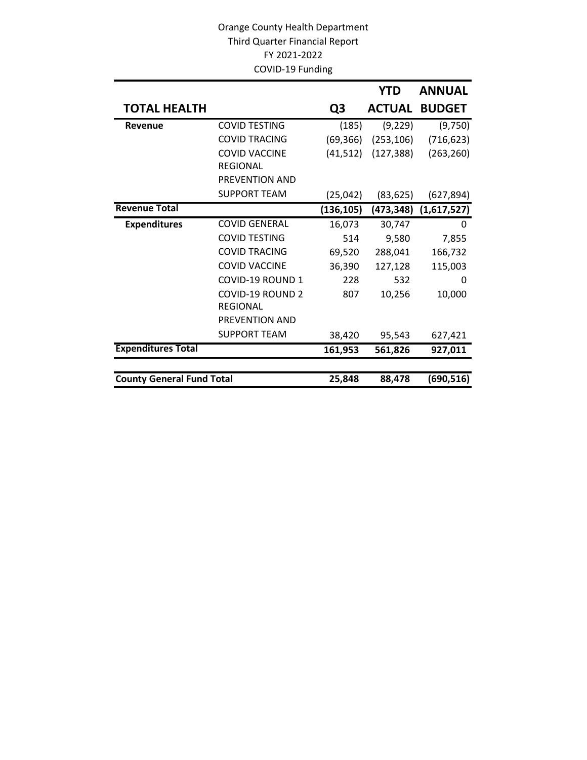# Orange County Health Department Third Quarter Financial Report FY 2021-2022 COVID-19 Funding

|                                  |                      |            | <b>YTD</b>    | <b>ANNUAL</b> |
|----------------------------------|----------------------|------------|---------------|---------------|
| <b>TOTAL HEALTH</b>              |                      | Q3         | <b>ACTUAL</b> | <b>BUDGET</b> |
| Revenue                          | <b>COVID TESTING</b> | (185)      | (9,229)       | (9,750)       |
|                                  | <b>COVID TRACING</b> | (69, 366)  | (253, 106)    | (716, 623)    |
|                                  | <b>COVID VACCINE</b> | (41, 512)  | (127, 388)    | (263, 260)    |
|                                  | <b>REGIONAL</b>      |            |               |               |
|                                  | PREVENTION AND       |            |               |               |
|                                  | <b>SUPPORT TEAM</b>  | (25, 042)  | (83, 625)     | (627, 894)    |
| <b>Revenue Total</b>             |                      | (136, 105) | (473, 348)    | (1,617,527)   |
| <b>Expenditures</b>              | <b>COVID GENERAL</b> | 16,073     | 30,747        | 0             |
|                                  | <b>COVID TESTING</b> | 514        | 9,580         | 7,855         |
|                                  | <b>COVID TRACING</b> | 69,520     | 288,041       | 166,732       |
|                                  | <b>COVID VACCINE</b> | 36,390     | 127,128       | 115,003       |
|                                  | COVID-19 ROUND 1     | 228        | 532           | 0             |
|                                  | COVID-19 ROUND 2     | 807        | 10,256        | 10,000        |
|                                  | <b>REGIONAL</b>      |            |               |               |
|                                  | PREVENTION AND       |            |               |               |
|                                  | <b>SUPPORT TEAM</b>  | 38,420     | 95,543        | 627,421       |
| <b>Expenditures Total</b>        |                      | 161,953    | 561,826       | 927,011       |
|                                  |                      |            |               |               |
| <b>County General Fund Total</b> |                      | 25,848     | 88,478        | (690, 516)    |